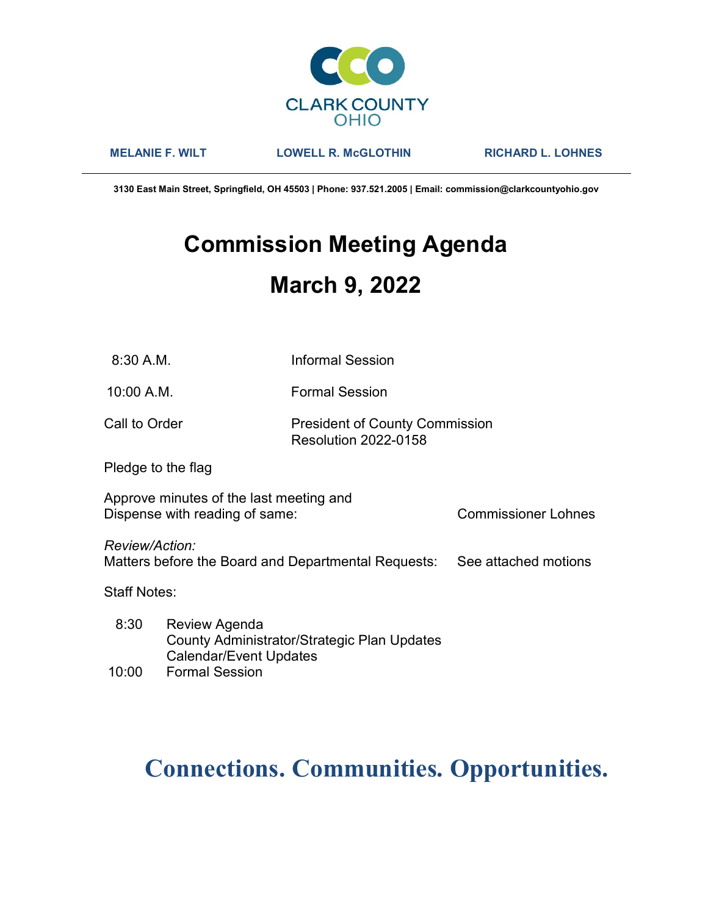

MELANIE F. WILT LOWELL R. McGLOTHIN RICHARD L. LOHNES

3130 East Main Street, Springfield, OH 45503 | Phone: 937.521.2005 | Email: commission@clarkcountyohio.gov

# Commission Meeting Agenda March 9, 2022

10:00 A.M. Formal Session

### Call to Order **President of County Commission** Resolution 2022-0158

Pledge to the flag

Approve minutes of the last meeting and Dispense with reading of same: Commissioner Lohnes

Review/Action:

Matters before the Board and Departmental Requests: See attached motions

Staff Notes:

 8:30 Review Agenda County Administrator/Strategic Plan Updates Calendar/Event Updates

## 10:00 Formal Session

## Connections. Communities. Opportunities.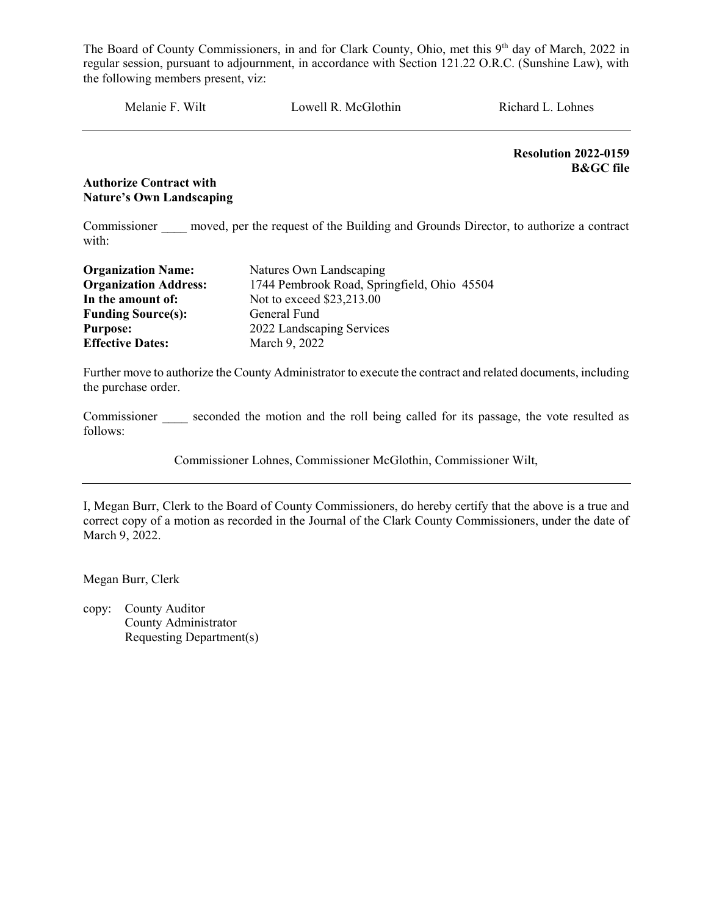Melanie F. Wilt Lowell R. McGlothin Richard L. Lohnes

Resolution 2022-0159 B&GC file

#### Authorize Contract with Nature's Own Landscaping

Commissioner moved, per the request of the Building and Grounds Director, to authorize a contract with:

| <b>Organization Name:</b>    | Natures Own Landscaping                     |  |
|------------------------------|---------------------------------------------|--|
| <b>Organization Address:</b> | 1744 Pembrook Road, Springfield, Ohio 45504 |  |
| In the amount of:            | Not to exceed \$23,213.00                   |  |
| <b>Funding Source(s):</b>    | General Fund                                |  |
| <b>Purpose:</b>              | 2022 Landscaping Services                   |  |
| <b>Effective Dates:</b>      | March 9, 2022                               |  |

Further move to authorize the County Administrator to execute the contract and related documents, including the purchase order.

Commissioner seconded the motion and the roll being called for its passage, the vote resulted as follows:

Commissioner Lohnes, Commissioner McGlothin, Commissioner Wilt,

I, Megan Burr, Clerk to the Board of County Commissioners, do hereby certify that the above is a true and correct copy of a motion as recorded in the Journal of the Clark County Commissioners, under the date of March 9, 2022.

Megan Burr, Clerk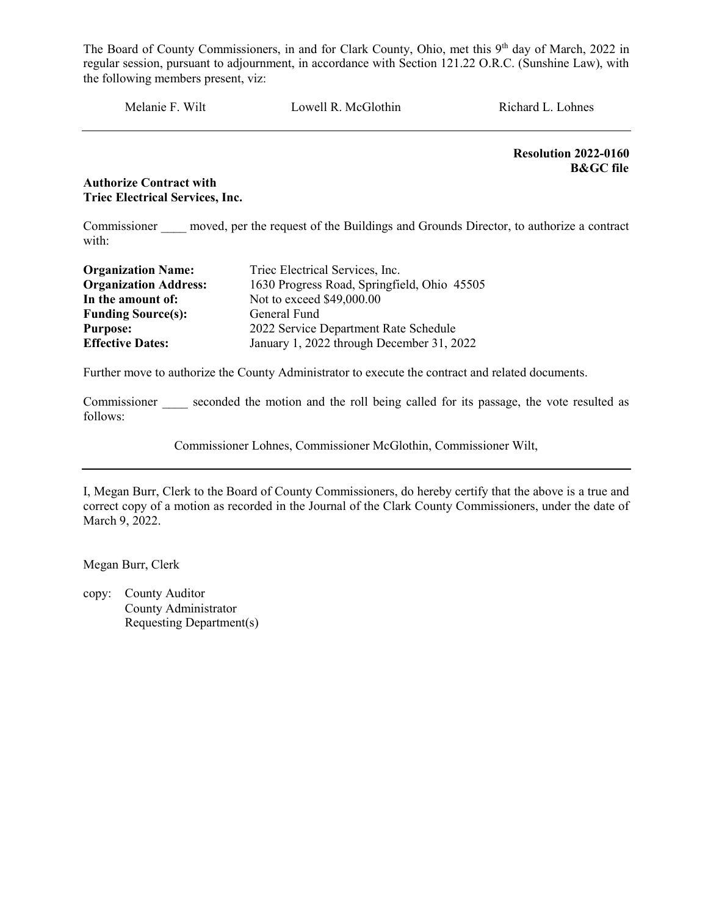Melanie F. Wilt Lowell R. McGlothin Richard L. Lohnes

Resolution 2022-0160 B&GC file

#### Authorize Contract with Triec Electrical Services, Inc.

Commissioner moved, per the request of the Buildings and Grounds Director, to authorize a contract with:

| <b>Organization Name:</b>    | Triec Electrical Services, Inc.             |  |  |
|------------------------------|---------------------------------------------|--|--|
| <b>Organization Address:</b> | 1630 Progress Road, Springfield, Ohio 45505 |  |  |
| In the amount of:            | Not to exceed \$49,000.00                   |  |  |
| <b>Funding Source(s):</b>    | General Fund                                |  |  |
| <b>Purpose:</b>              | 2022 Service Department Rate Schedule       |  |  |
| <b>Effective Dates:</b>      | January 1, 2022 through December 31, 2022   |  |  |

Further move to authorize the County Administrator to execute the contract and related documents.

Commissioner seconded the motion and the roll being called for its passage, the vote resulted as follows:

Commissioner Lohnes, Commissioner McGlothin, Commissioner Wilt,

I, Megan Burr, Clerk to the Board of County Commissioners, do hereby certify that the above is a true and correct copy of a motion as recorded in the Journal of the Clark County Commissioners, under the date of March 9, 2022.

Megan Burr, Clerk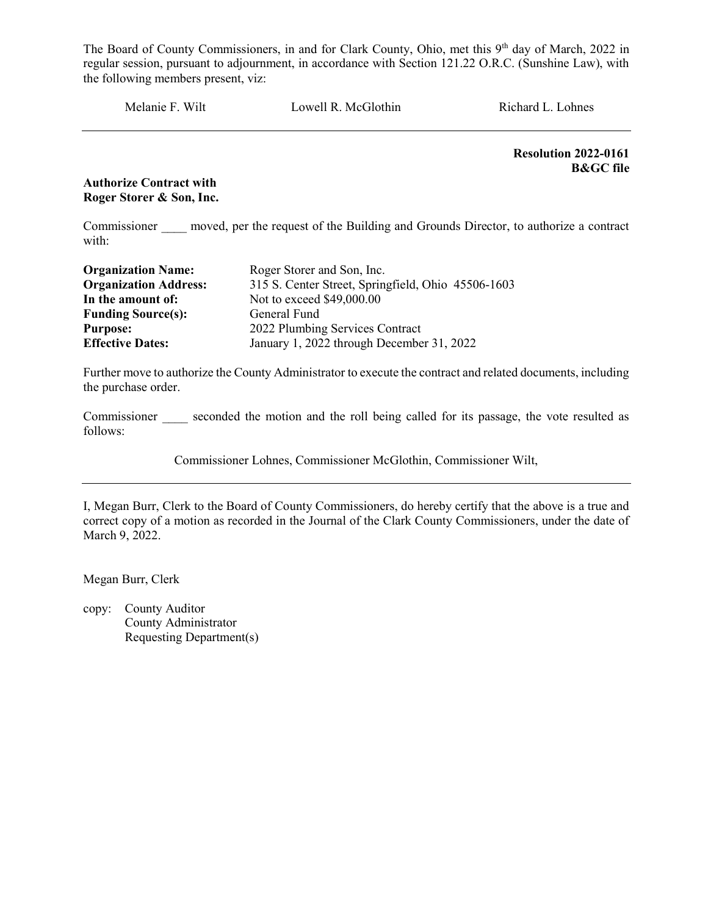Melanie F. Wilt Lowell R. McGlothin Richard L. Lohnes

Resolution 2022-0161 B&GC file

Authorize Contract with Roger Storer & Son, Inc.

Commissioner moved, per the request of the Building and Grounds Director, to authorize a contract with:

| <b>Organization Name:</b>    | Roger Storer and Son, Inc.                         |  |  |
|------------------------------|----------------------------------------------------|--|--|
| <b>Organization Address:</b> | 315 S. Center Street, Springfield, Ohio 45506-1603 |  |  |
| In the amount of:            | Not to exceed \$49,000.00                          |  |  |
| <b>Funding Source(s):</b>    | General Fund                                       |  |  |
| <b>Purpose:</b>              | 2022 Plumbing Services Contract                    |  |  |
| <b>Effective Dates:</b>      | January 1, 2022 through December 31, 2022          |  |  |

Further move to authorize the County Administrator to execute the contract and related documents, including the purchase order.

Commissioner seconded the motion and the roll being called for its passage, the vote resulted as follows:

Commissioner Lohnes, Commissioner McGlothin, Commissioner Wilt,

I, Megan Burr, Clerk to the Board of County Commissioners, do hereby certify that the above is a true and correct copy of a motion as recorded in the Journal of the Clark County Commissioners, under the date of March 9, 2022.

Megan Burr, Clerk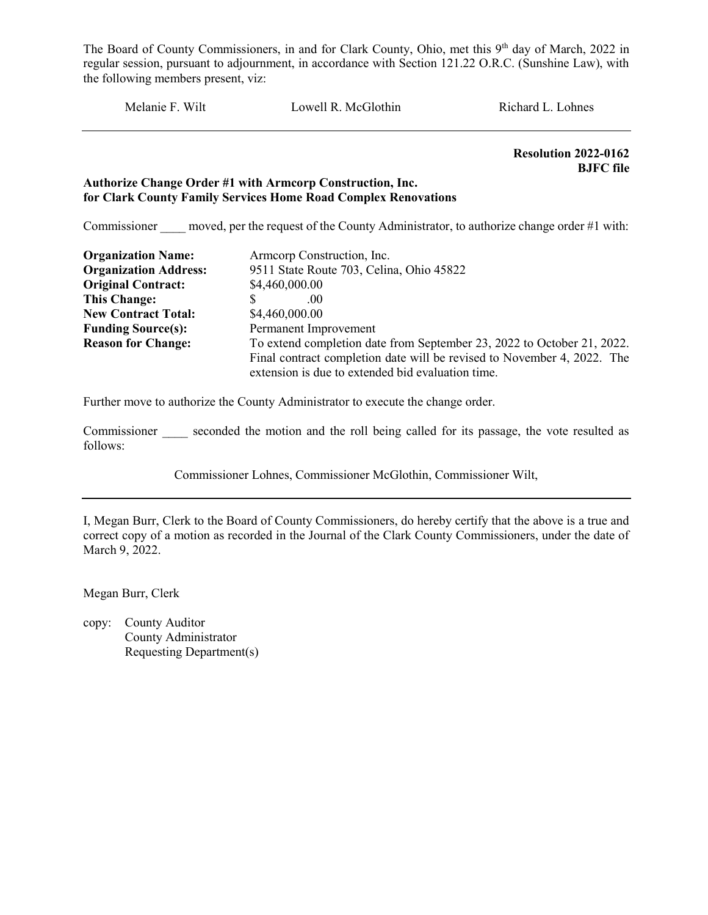Melanie F. Wilt Lowell R. McGlothin Richard L. Lohnes

 Resolution 2022-0162 BJFC file

#### Authorize Change Order #1 with Armcorp Construction, Inc. for Clark County Family Services Home Road Complex Renovations

Commissioner moved, per the request of the County Administrator, to authorize change order #1 with:

| <b>Organization Name:</b>    | Armcorp Construction, Inc.                                              |  |  |
|------------------------------|-------------------------------------------------------------------------|--|--|
| <b>Organization Address:</b> | 9511 State Route 703, Celina, Ohio 45822                                |  |  |
| <b>Original Contract:</b>    | \$4,460,000.00                                                          |  |  |
| <b>This Change:</b>          | .00                                                                     |  |  |
| <b>New Contract Total:</b>   | \$4,460,000.00                                                          |  |  |
| <b>Funding Source(s):</b>    | Permanent Improvement                                                   |  |  |
| <b>Reason for Change:</b>    | To extend completion date from September 23, 2022 to October 21, 2022.  |  |  |
|                              | Final contract completion date will be revised to November 4, 2022. The |  |  |
|                              | extension is due to extended bid evaluation time.                       |  |  |

Further move to authorize the County Administrator to execute the change order.

Commissioner seconded the motion and the roll being called for its passage, the vote resulted as follows:

Commissioner Lohnes, Commissioner McGlothin, Commissioner Wilt,

I, Megan Burr, Clerk to the Board of County Commissioners, do hereby certify that the above is a true and correct copy of a motion as recorded in the Journal of the Clark County Commissioners, under the date of March 9, 2022.

Megan Burr, Clerk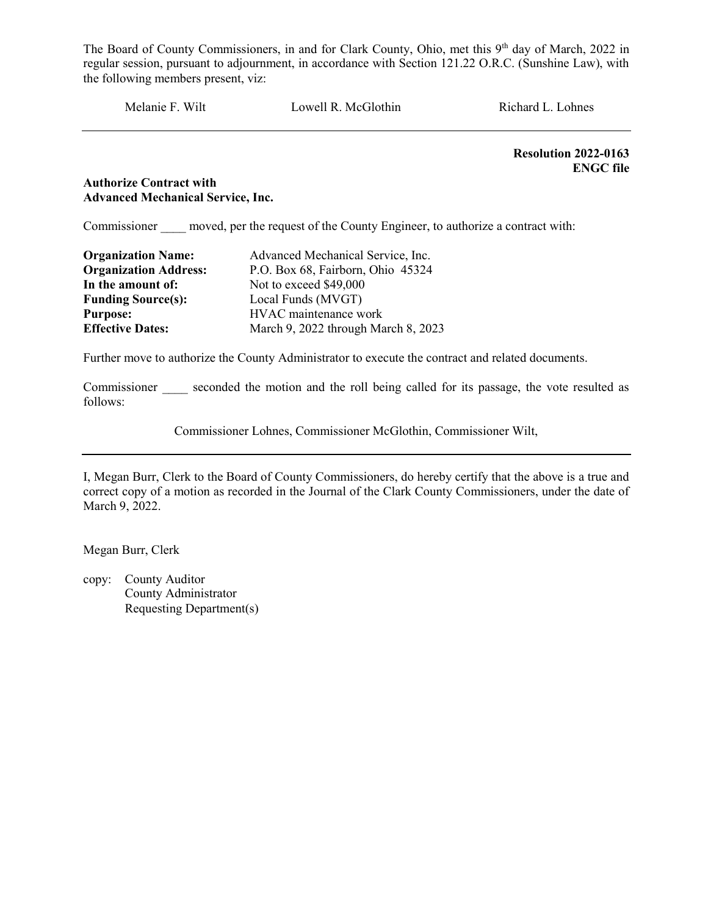Melanie F. Wilt Lowell R. McGlothin Richard L. Lohnes

Resolution 2022-0163 ENGC file

#### Authorize Contract with Advanced Mechanical Service, Inc.

Commissioner moved, per the request of the County Engineer, to authorize a contract with:

| <b>Organization Name:</b>    | Advanced Mechanical Service, Inc.   |  |
|------------------------------|-------------------------------------|--|
| <b>Organization Address:</b> | P.O. Box 68, Fairborn, Ohio 45324   |  |
| In the amount of:            | Not to exceed \$49,000              |  |
| <b>Funding Source(s):</b>    | Local Funds (MVGT)                  |  |
| <b>Purpose:</b>              | HVAC maintenance work               |  |
| <b>Effective Dates:</b>      | March 9, 2022 through March 8, 2023 |  |

Further move to authorize the County Administrator to execute the contract and related documents.

Commissioner seconded the motion and the roll being called for its passage, the vote resulted as follows:

Commissioner Lohnes, Commissioner McGlothin, Commissioner Wilt,

I, Megan Burr, Clerk to the Board of County Commissioners, do hereby certify that the above is a true and correct copy of a motion as recorded in the Journal of the Clark County Commissioners, under the date of March 9, 2022.

Megan Burr, Clerk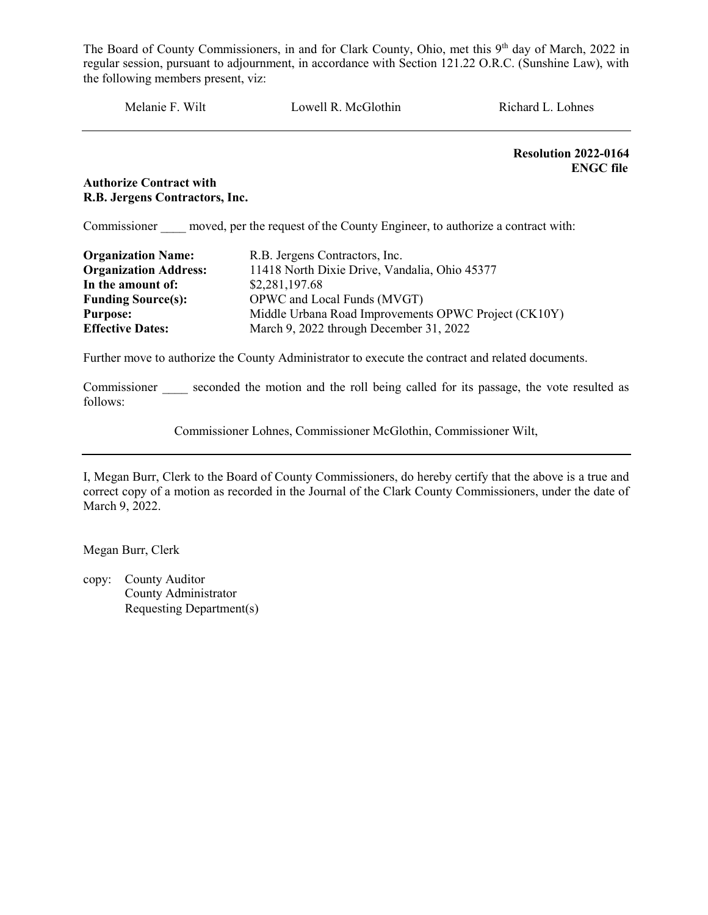Melanie F. Wilt Lowell R. McGlothin Richard L. Lohnes

Resolution 2022-0164 ENGC file

#### Authorize Contract with R.B. Jergens Contractors, Inc.

Commissioner moved, per the request of the County Engineer, to authorize a contract with:

| <b>Organization Name:</b>    | R.B. Jergens Contractors, Inc.                       |  |  |
|------------------------------|------------------------------------------------------|--|--|
| <b>Organization Address:</b> | 11418 North Dixie Drive, Vandalia, Ohio 45377        |  |  |
| In the amount of:            | \$2,281,197.68                                       |  |  |
| <b>Funding Source(s):</b>    | OPWC and Local Funds (MVGT)                          |  |  |
| <b>Purpose:</b>              | Middle Urbana Road Improvements OPWC Project (CK10Y) |  |  |
| <b>Effective Dates:</b>      | March 9, 2022 through December 31, 2022              |  |  |

Further move to authorize the County Administrator to execute the contract and related documents.

Commissioner seconded the motion and the roll being called for its passage, the vote resulted as follows:

Commissioner Lohnes, Commissioner McGlothin, Commissioner Wilt,

I, Megan Burr, Clerk to the Board of County Commissioners, do hereby certify that the above is a true and correct copy of a motion as recorded in the Journal of the Clark County Commissioners, under the date of March 9, 2022.

Megan Burr, Clerk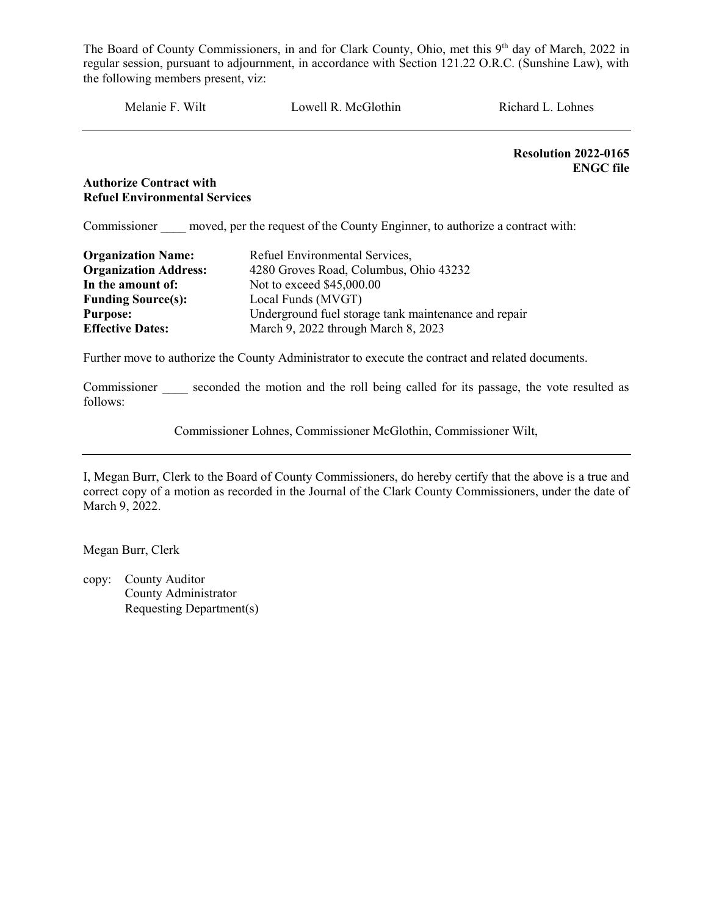Melanie F. Wilt Lowell R. McGlothin Richard L. Lohnes

Resolution 2022-0165 ENGC file

#### Authorize Contract with Refuel Environmental Services

Commissioner moved, per the request of the County Enginner, to authorize a contract with:

| <b>Organization Name:</b>    | Refuel Environmental Services,                       |  |
|------------------------------|------------------------------------------------------|--|
| <b>Organization Address:</b> | 4280 Groves Road, Columbus, Ohio 43232               |  |
| In the amount of:            | Not to exceed \$45,000.00                            |  |
| <b>Funding Source(s):</b>    | Local Funds (MVGT)                                   |  |
| <b>Purpose:</b>              | Underground fuel storage tank maintenance and repair |  |
| <b>Effective Dates:</b>      | March 9, 2022 through March 8, 2023                  |  |

Further move to authorize the County Administrator to execute the contract and related documents.

Commissioner seconded the motion and the roll being called for its passage, the vote resulted as follows:

Commissioner Lohnes, Commissioner McGlothin, Commissioner Wilt,

I, Megan Burr, Clerk to the Board of County Commissioners, do hereby certify that the above is a true and correct copy of a motion as recorded in the Journal of the Clark County Commissioners, under the date of March 9, 2022.

Megan Burr, Clerk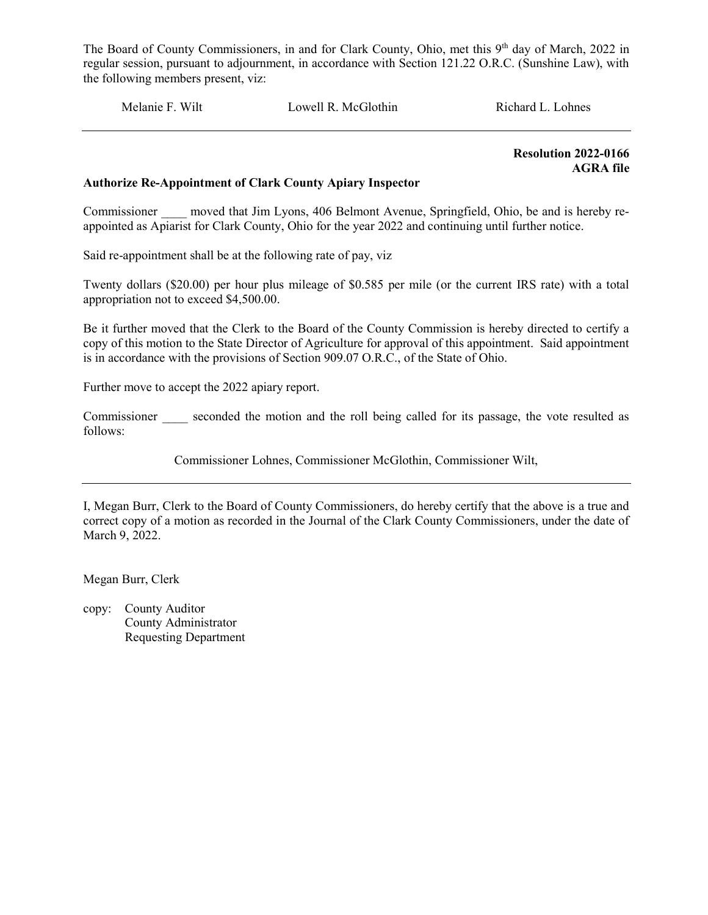Melanie F. Wilt Lowell R. McGlothin Richard L. Lohnes

 Resolution 2022-0166 AGRA file

#### Authorize Re-Appointment of Clark County Apiary Inspector

Commissioner moved that Jim Lyons, 406 Belmont Avenue, Springfield, Ohio, be and is hereby reappointed as Apiarist for Clark County, Ohio for the year 2022 and continuing until further notice.

Said re-appointment shall be at the following rate of pay, viz

Twenty dollars (\$20.00) per hour plus mileage of \$0.585 per mile (or the current IRS rate) with a total appropriation not to exceed \$4,500.00.

Be it further moved that the Clerk to the Board of the County Commission is hereby directed to certify a copy of this motion to the State Director of Agriculture for approval of this appointment. Said appointment is in accordance with the provisions of Section 909.07 O.R.C., of the State of Ohio.

Further move to accept the 2022 apiary report.

Commissioner seconded the motion and the roll being called for its passage, the vote resulted as follows:

Commissioner Lohnes, Commissioner McGlothin, Commissioner Wilt,

I, Megan Burr, Clerk to the Board of County Commissioners, do hereby certify that the above is a true and correct copy of a motion as recorded in the Journal of the Clark County Commissioners, under the date of March 9, 2022.

Megan Burr, Clerk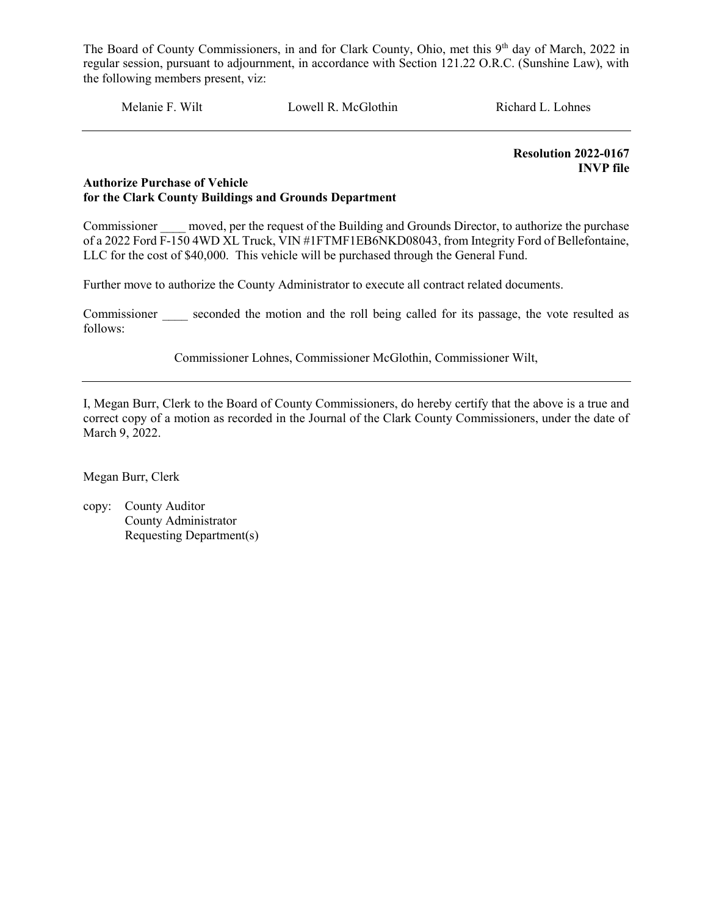Melanie F. Wilt Lowell R. McGlothin Richard L. Lohnes

 Resolution 2022-0167 INVP file

#### Authorize Purchase of Vehicle for the Clark County Buildings and Grounds Department

Commissioner moved, per the request of the Building and Grounds Director, to authorize the purchase of a 2022 Ford F-150 4WD XL Truck, VIN #1FTMF1EB6NKD08043, from Integrity Ford of Bellefontaine, LLC for the cost of \$40,000. This vehicle will be purchased through the General Fund.

Further move to authorize the County Administrator to execute all contract related documents.

Commissioner seconded the motion and the roll being called for its passage, the vote resulted as follows:

Commissioner Lohnes, Commissioner McGlothin, Commissioner Wilt,

I, Megan Burr, Clerk to the Board of County Commissioners, do hereby certify that the above is a true and correct copy of a motion as recorded in the Journal of the Clark County Commissioners, under the date of March 9, 2022.

Megan Burr, Clerk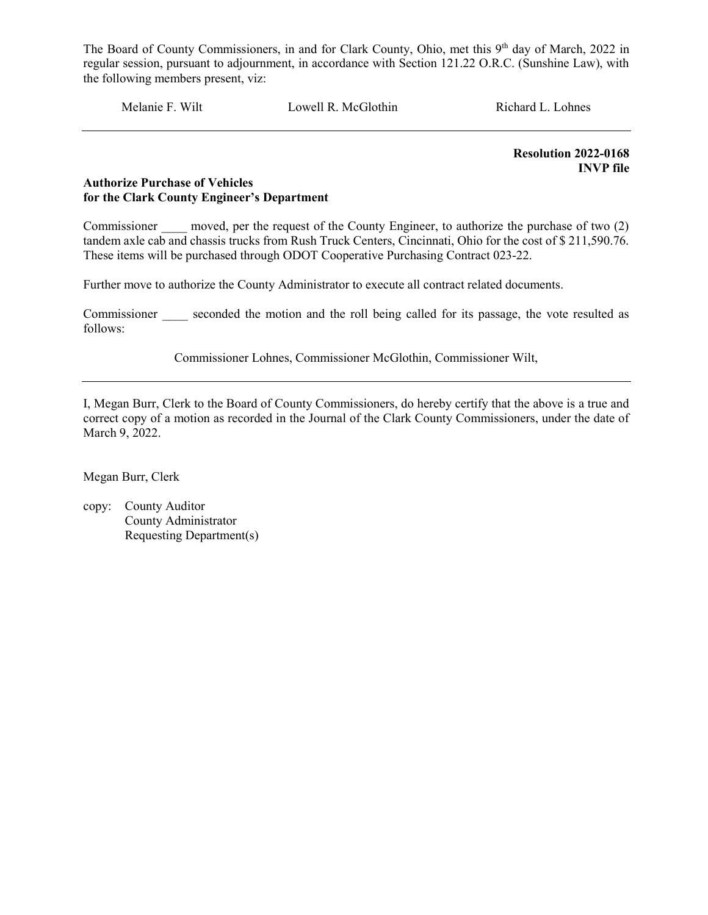Melanie F. Wilt Lowell R. McGlothin Richard L. Lohnes

 Resolution 2022-0168 INVP file

#### Authorize Purchase of Vehicles for the Clark County Engineer's Department

Commissioner moved, per the request of the County Engineer, to authorize the purchase of two (2) tandem axle cab and chassis trucks from Rush Truck Centers, Cincinnati, Ohio for the cost of \$ 211,590.76. These items will be purchased through ODOT Cooperative Purchasing Contract 023-22.

Further move to authorize the County Administrator to execute all contract related documents.

Commissioner seconded the motion and the roll being called for its passage, the vote resulted as follows:

Commissioner Lohnes, Commissioner McGlothin, Commissioner Wilt,

I, Megan Burr, Clerk to the Board of County Commissioners, do hereby certify that the above is a true and correct copy of a motion as recorded in the Journal of the Clark County Commissioners, under the date of March 9, 2022.

Megan Burr, Clerk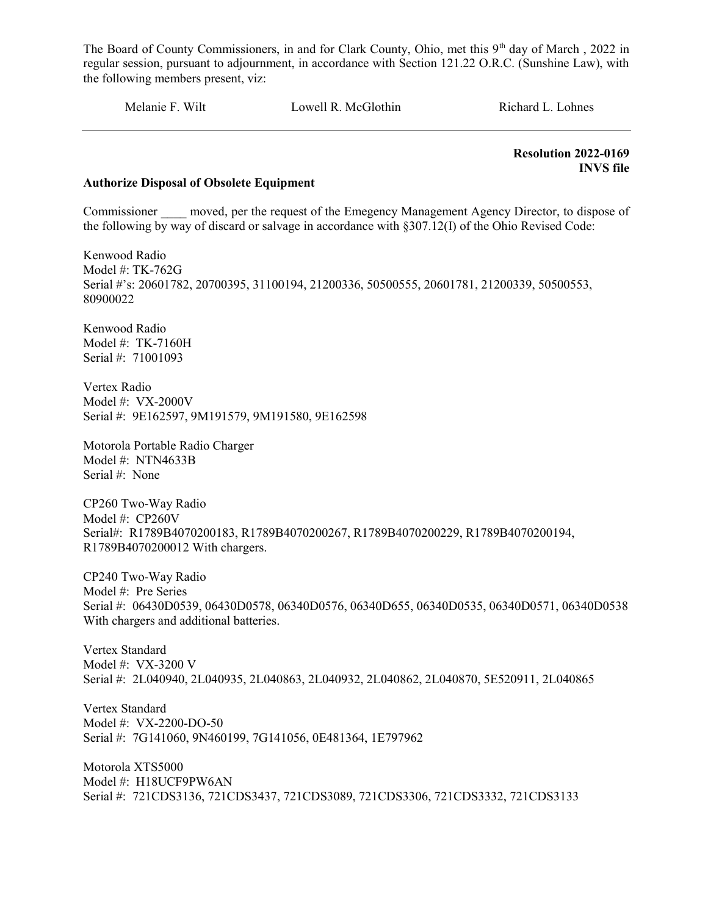Melanie F. Wilt Cowell R. McGlothin Richard L. Lohnes

 Resolution 2022-0169 INVS file

#### Authorize Disposal of Obsolete Equipment

Commissioner moved, per the request of the Emegency Management Agency Director, to dispose of the following by way of discard or salvage in accordance with §307.12(I) of the Ohio Revised Code:

Kenwood Radio Model #: TK-762G Serial #'s: 20601782, 20700395, 31100194, 21200336, 50500555, 20601781, 21200339, 50500553, 80900022

Kenwood Radio Model #: TK-7160H Serial #: 71001093

Vertex Radio Model #: VX-2000V Serial #: 9E162597, 9M191579, 9M191580, 9E162598

Motorola Portable Radio Charger Model #: NTN4633B Serial #: None

CP260 Two-Way Radio Model #: CP260V Serial#: R1789B4070200183, R1789B4070200267, R1789B4070200229, R1789B4070200194, R1789B4070200012 With chargers.

CP240 Two-Way Radio Model #: Pre Series Serial #: 06430D0539, 06430D0578, 06340D0576, 06340D655, 06340D0535, 06340D0571, 06340D0538 With chargers and additional batteries.

Vertex Standard Model #: VX-3200 V Serial #: 2L040940, 2L040935, 2L040863, 2L040932, 2L040862, 2L040870, 5E520911, 2L040865

Vertex Standard Model #: VX-2200-DO-50 Serial #: 7G141060, 9N460199, 7G141056, 0E481364, 1E797962

Motorola XTS5000 Model #: H18UCF9PW6AN Serial #: 721CDS3136, 721CDS3437, 721CDS3089, 721CDS3306, 721CDS3332, 721CDS3133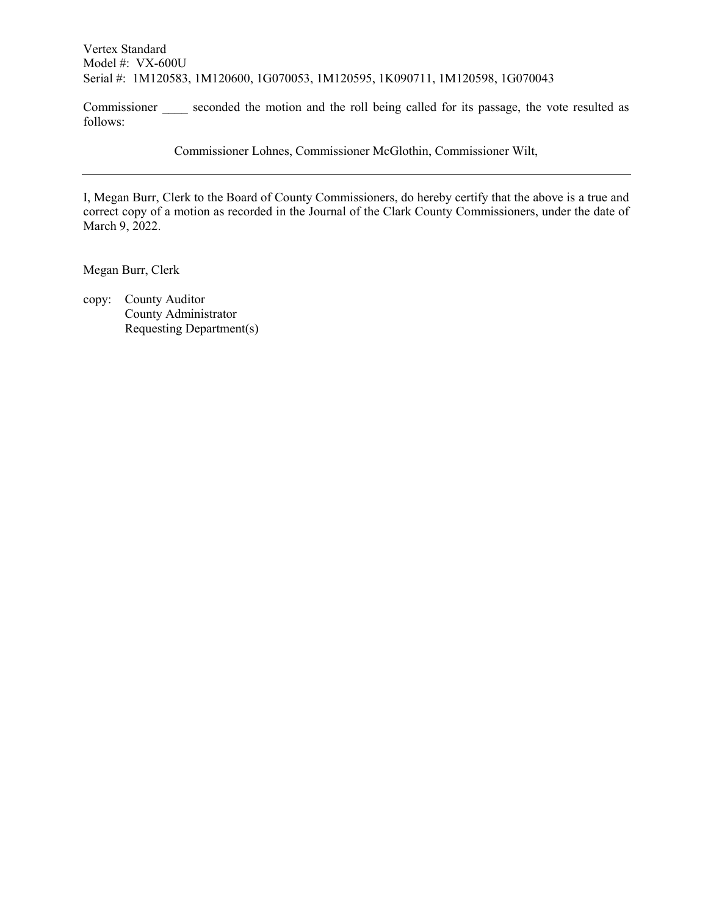Vertex Standard Model #: VX-600U Serial #: 1M120583, 1M120600, 1G070053, 1M120595, 1K090711, 1M120598, 1G070043

Commissioner seconded the motion and the roll being called for its passage, the vote resulted as follows:

Commissioner Lohnes, Commissioner McGlothin, Commissioner Wilt,

I, Megan Burr, Clerk to the Board of County Commissioners, do hereby certify that the above is a true and correct copy of a motion as recorded in the Journal of the Clark County Commissioners, under the date of March 9, 2022.

Megan Burr, Clerk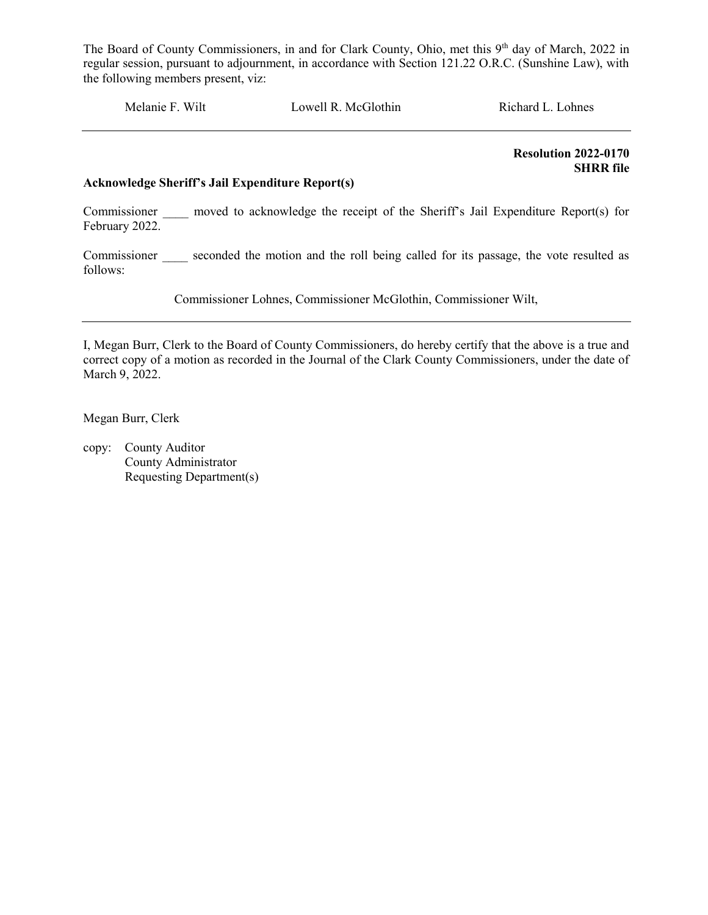Melanie F. Wilt Lowell R. McGlothin Richard L. Lohnes

 Resolution 2022-0170 SHRR file

#### Acknowledge Sheriff's Jail Expenditure Report(s)

Commissioner \_\_\_\_\_ moved to acknowledge the receipt of the Sheriff's Jail Expenditure Report(s) for February 2022.

Commissioner seconded the motion and the roll being called for its passage, the vote resulted as follows:

Commissioner Lohnes, Commissioner McGlothin, Commissioner Wilt,

I, Megan Burr, Clerk to the Board of County Commissioners, do hereby certify that the above is a true and correct copy of a motion as recorded in the Journal of the Clark County Commissioners, under the date of March 9, 2022.

Megan Burr, Clerk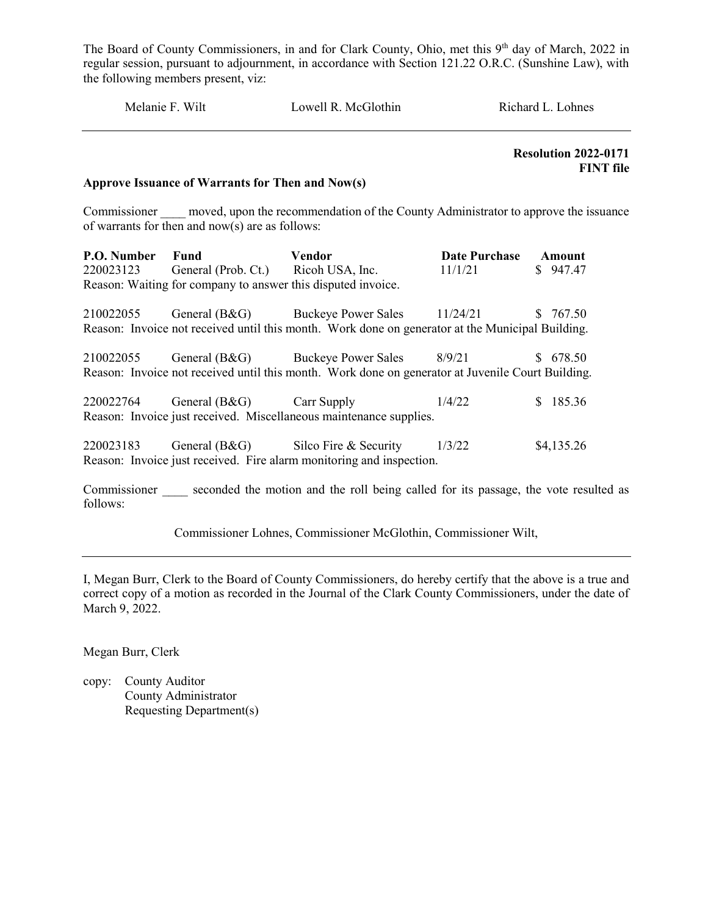| Melanie F. Wilt          |                                                  | Lowell R. McGlothin                                                                                                                    |                                 | Richard L. Lohnes                               |  |
|--------------------------|--------------------------------------------------|----------------------------------------------------------------------------------------------------------------------------------------|---------------------------------|-------------------------------------------------|--|
|                          | Approve Issuance of Warrants for Then and Now(s) |                                                                                                                                        |                                 | <b>Resolution 2022-0171</b><br><b>FINT</b> file |  |
|                          | of warrants for then and now(s) are as follows:  | Commissioner _____ moved, upon the recommendation of the County Administrator to approve the issuance                                  |                                 |                                                 |  |
| P.O. Number<br>220023123 | Fund<br>General (Prob. Ct.) Ricoh USA, Inc.      | <b>Vendor</b><br>Reason: Waiting for company to answer this disputed invoice.                                                          | <b>Date Purchase</b><br>11/1/21 | Amount<br>\$947.47                              |  |
| 210022055                |                                                  | General (B&G) Buckeye Power Sales<br>Reason: Invoice not received until this month. Work done on generator at the Municipal Building.  | 11/24/21                        | \$767.50                                        |  |
| 210022055                |                                                  | General (B&G) Buckeye Power Sales<br>Reason: Invoice not received until this month. Work done on generator at Juvenile Court Building. | 8/9/21                          | \$678.50                                        |  |
|                          | 220022764 General (B&G)                          | Carr Supply<br>Reason: Invoice just received. Miscellaneous maintenance supplies.                                                      | 1/4/22                          | \$185.36                                        |  |
| 220023183                |                                                  | General (B&G) Silco Fire & Security<br>Reason: Invoice just received. Fire alarm monitoring and inspection.                            | 1/3/22                          | \$4,135.26                                      |  |
| Commissioner             |                                                  | seconded the motion and the roll being called for its passage, the vote resulted as                                                    |                                 |                                                 |  |

follows:

Commissioner Lohnes, Commissioner McGlothin, Commissioner Wilt,

I, Megan Burr, Clerk to the Board of County Commissioners, do hereby certify that the above is a true and correct copy of a motion as recorded in the Journal of the Clark County Commissioners, under the date of March 9, 2022.

Megan Burr, Clerk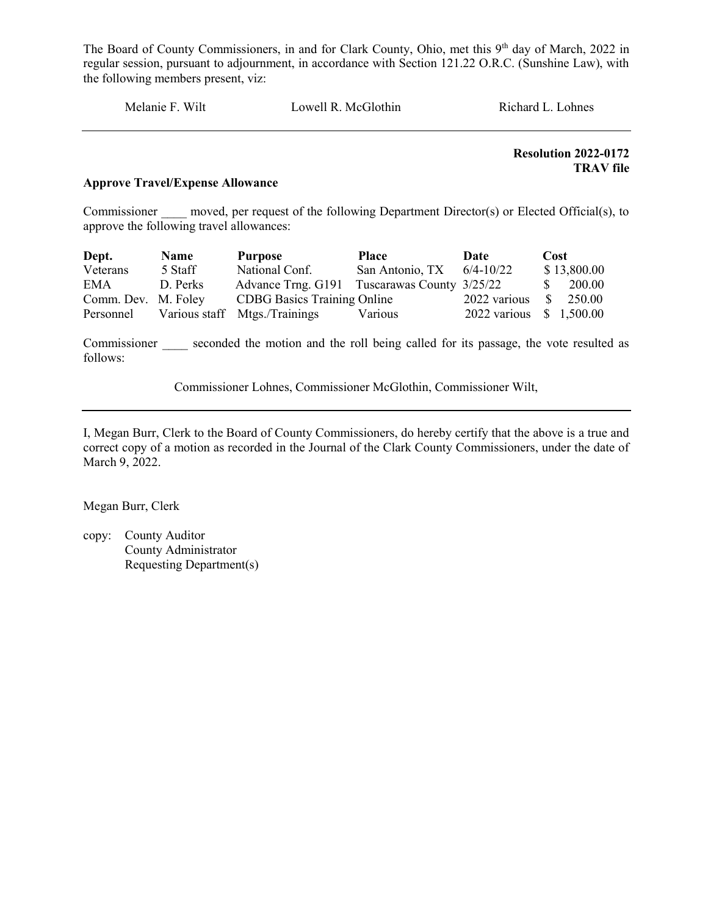Melanie F. Wilt Lowell R. McGlothin Richard L. Lohnes

Resolution 2022-0172 TRAV file

#### Approve Travel/Expense Allowance

Commissioner moved, per request of the following Department Director(s) or Elected Official(s), to approve the following travel allowances:

| Dept.               | <b>Name</b> | Purpose                                      | Place           | Date                    | Cost          |
|---------------------|-------------|----------------------------------------------|-----------------|-------------------------|---------------|
| Veterans            | 5 Staff     | National Conf.                               | San Antonio, TX | $6/4 - 10/22$           | \$13,800.00   |
| <b>EMA</b>          | D. Perks    | Advance Trng. G191 Tuscarawas County 3/25/22 |                 |                         | 200.00<br>-SS |
| Comm. Dev. M. Foley |             | <b>CDBG</b> Basics Training Online           |                 | 2022 various            | 250.00<br>-SI |
| Personnel           |             | Various staff Mtgs./Trainings                | Various         | 2022 various \$1,500.00 |               |

Commissioner seconded the motion and the roll being called for its passage, the vote resulted as follows:

Commissioner Lohnes, Commissioner McGlothin, Commissioner Wilt,

I, Megan Burr, Clerk to the Board of County Commissioners, do hereby certify that the above is a true and correct copy of a motion as recorded in the Journal of the Clark County Commissioners, under the date of March 9, 2022.

Megan Burr, Clerk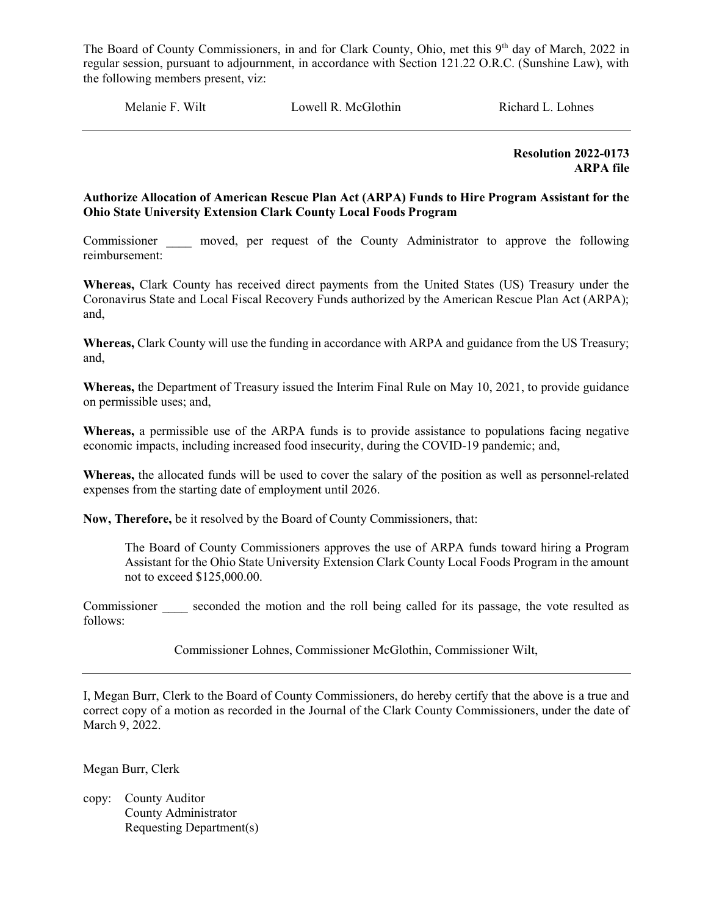Melanie F. Wilt **Lowell R. McGlothin** Richard L. Lohnes

 Resolution 2022-0173 ARPA file

#### Authorize Allocation of American Rescue Plan Act (ARPA) Funds to Hire Program Assistant for the Ohio State University Extension Clark County Local Foods Program

Commissioner moved, per request of the County Administrator to approve the following reimbursement:

Whereas, Clark County has received direct payments from the United States (US) Treasury under the Coronavirus State and Local Fiscal Recovery Funds authorized by the American Rescue Plan Act (ARPA); and,

Whereas, Clark County will use the funding in accordance with ARPA and guidance from the US Treasury; and,

Whereas, the Department of Treasury issued the Interim Final Rule on May 10, 2021, to provide guidance on permissible uses; and,

Whereas, a permissible use of the ARPA funds is to provide assistance to populations facing negative economic impacts, including increased food insecurity, during the COVID-19 pandemic; and,

Whereas, the allocated funds will be used to cover the salary of the position as well as personnel-related expenses from the starting date of employment until 2026.

Now, Therefore, be it resolved by the Board of County Commissioners, that:

The Board of County Commissioners approves the use of ARPA funds toward hiring a Program Assistant for the Ohio State University Extension Clark County Local Foods Program in the amount not to exceed \$125,000.00.

Commissioner seconded the motion and the roll being called for its passage, the vote resulted as follows:

Commissioner Lohnes, Commissioner McGlothin, Commissioner Wilt,

I, Megan Burr, Clerk to the Board of County Commissioners, do hereby certify that the above is a true and correct copy of a motion as recorded in the Journal of the Clark County Commissioners, under the date of March 9, 2022.

Megan Burr, Clerk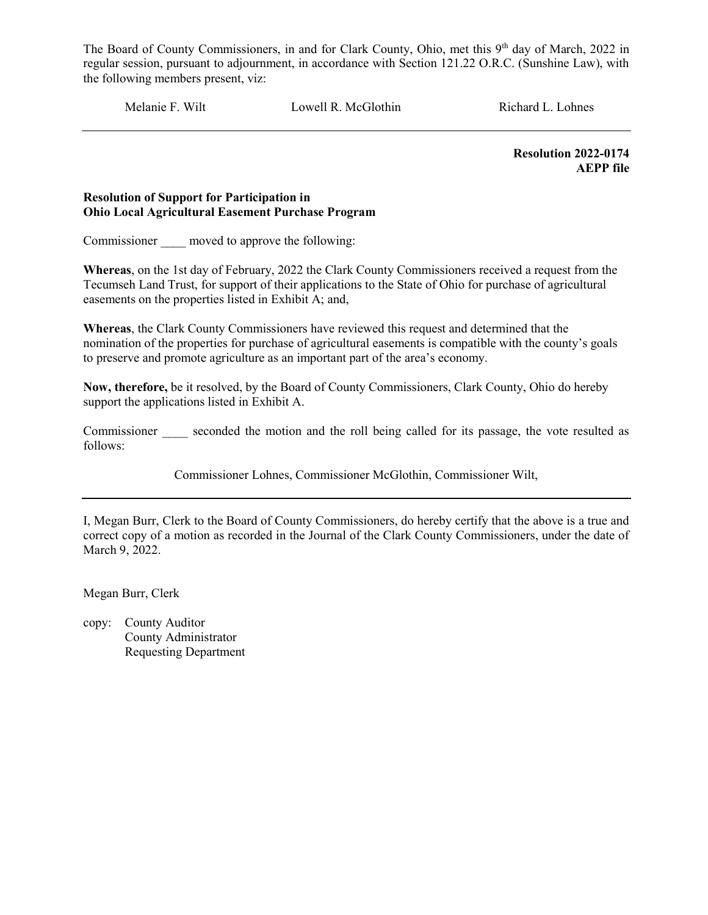Melanie F. Wilt **Lowell R. McGlothin** Richard L. Lohnes

 Resolution 2022-0174 AEPP file

#### Resolution of Support for Participation in Ohio Local Agricultural Easement Purchase Program

Commissioner moved to approve the following:

Whereas, on the 1st day of February, 2022 the Clark County Commissioners received a request from the Tecumseh Land Trust, for support of their applications to the State of Ohio for purchase of agricultural easements on the properties listed in Exhibit A; and,

Whereas, the Clark County Commissioners have reviewed this request and determined that the nomination of the properties for purchase of agricultural easements is compatible with the county's goals to preserve and promote agriculture as an important part of the area's economy.

Now, therefore, be it resolved, by the Board of County Commissioners, Clark County, Ohio do hereby support the applications listed in Exhibit A.

Commissioner seconded the motion and the roll being called for its passage, the vote resulted as follows:

Commissioner Lohnes, Commissioner McGlothin, Commissioner Wilt,

I, Megan Burr, Clerk to the Board of County Commissioners, do hereby certify that the above is a true and correct copy of a motion as recorded in the Journal of the Clark County Commissioners, under the date of March 9, 2022.

Megan Burr, Clerk